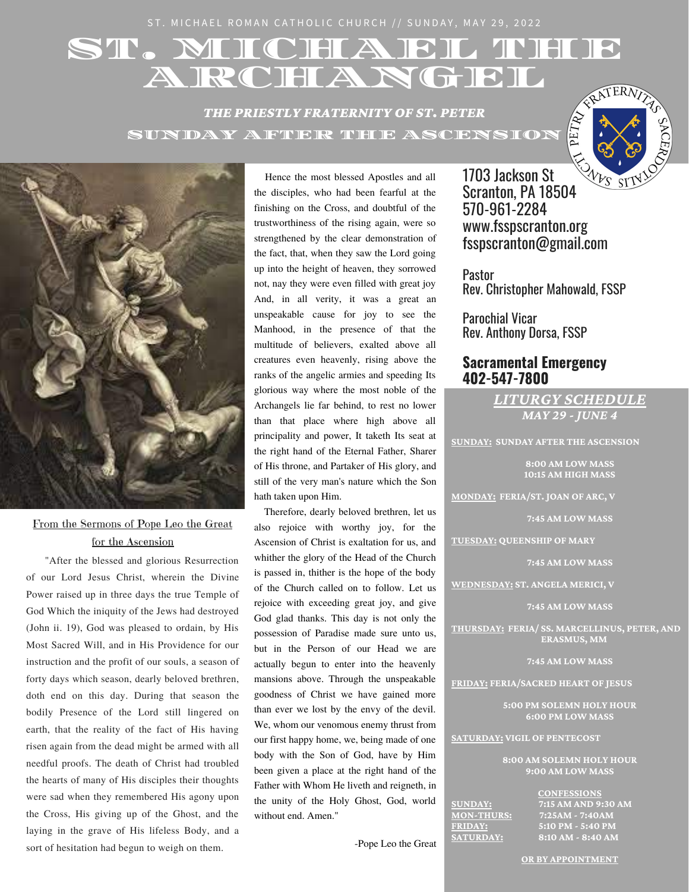ST. MICHAEL ROMAN CATHOLIC CHURCH // SUNDAY, MAY 29, 2022

# ST. MIICHAEL THEF A RCHANGEL

*THE PRIESTLY FRATERNITY OF ST. PETER* SUNDAY AFTER THE ASCENSION





# From the Sermons of Pope Leo the Great for the Ascension

"After the blessed and glorious Resurrection of our Lord Jesus Christ, wherein the Divine Power raised up in three days the true Temple of God Which the iniquity of the Jews had destroyed (John ii. 19), God was pleased to ordain, by His Most Sacred Will, and in His Providence for our instruction and the profit of our souls, a season of forty days which season, dearly beloved brethren, doth end on this day. During that season the bodily Presence of the Lord still lingered on earth, that the reality of the fact of His having risen again from the dead might be armed with all needful proofs. The death of Christ had troubled the hearts of many of His disciples their thoughts were sad when they remembered His agony upon the Cross, His giving up of the Ghost, and the laying in the grave of His lifeless Body, and a sort of hesitation had begun to weigh on them.

Hence the most blessed Apostles and all the disciples, who had been fearful at the finishing on the Cross, and doubtful of the trustworthiness of the rising again, were so strengthened by the clear demonstration of the fact, that, when they saw the Lord going up into the height of heaven, they sorrowed not, nay they were even filled with great joy And, in all verity, it was a great an unspeakable cause for joy to see the Manhood, in the presence of that the multitude of believers, exalted above all creatures even heavenly, rising above the ranks of the angelic armies and speeding Its glorious way where the most noble of the Archangels lie far behind, to rest no lower than that place where high above all principality and power, It taketh Its seat at the right hand of the Eternal Father, Sharer of His throne, and Partaker of His glory, and still of the very man's nature which the Son hath taken upon Him.

Therefore, dearly beloved brethren, let us also rejoice with worthy joy, for the Ascension of Christ is exaltation for us, and whither the glory of the Head of the Church is passed in, thither is the hope of the body of the Church called on to follow. Let us rejoice with exceeding great joy, and give God glad thanks. This day is not only the possession of Paradise made sure unto us, but in the Person of our Head we are actually begun to enter into the heavenly mansions above. Through the unspeakable goodness of Christ we have gained more than ever we lost by the envy of the devil. We, whom our venomous enemy thrust from our first happy home, we, being made of one body with the Son of God, have by Him been given a place at the right hand of the Father with Whom He liveth and reigneth, in the unity of the Holy Ghost, God, world without end. Amen."

-Pope Leo the Great

1703 Jackson St **1703 Jackson St**  $W_{\text{ES}}$  St Scranton, PA 18504 570-961-2284 www.fsspscranton.org fsspscranton@gmail.com

Pastor Rev. Christopher Mahowald, FSSP

Parochial Vicar Rev. Anthony Dorsa, FSSP

# **Sacramental Emergency 402-547-7800**

*LITURGY SCHEDULE MAY 29 - JUNE 4*

**SUNDAY: SUNDAY AFTER THE ASCENSION**

**8:00 AM LOW MASS 10:15 AM HIGH MASS**

**MONDAY: FERIA/ST. JOAN OF ARC, V**

**7:45 AM LOW MASS**

**TUESDAY: QUEENSHIP OF MARY**

**7:45 AM LOW MASS**

**WEDNESDAY: ST. ANGELA MERICI, V** 

**7:45 AM LOW MASS**

**THURSDAY: FERIA/ SS. MARCELLINUS, PETER, AND ERASMUS, MM**

**7:45 AM LOW MASS**

**FRIDAY: FERIA/SACRED HEART OF JESUS**

**5:00 PM SOLEMN HOLY HOUR 6:00 PM LOW MASS**

**SATURDAY: VIGIL OF PENTECOST**

**8:00 AM SOLEMN HOLY HOUR 9:00 AM LOW MASS**

**CONFESSIONS SUNDAY:** 7:15 AM AND 9:30 AM<br>MON-THURS: 7:25AM - 7:40AM **MON-THURS: 7:25AM - 7:40AM FRIDAY: 5:10 PM - 5:40 PM SATURDAY: 8:10 AM - 8:40 AM**

**OR BY APPOINTMENT**